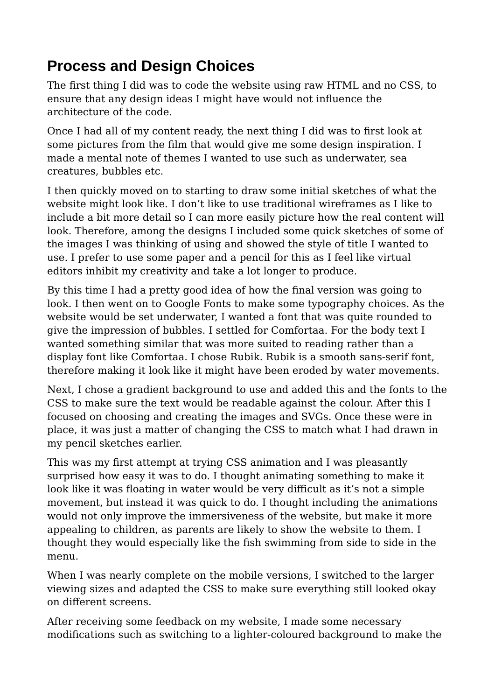## **Process and Design Choices**

The first thing I did was to code the website using raw HTML and no CSS, to ensure that any design ideas I might have would not influence the architecture of the code.

Once I had all of my content ready, the next thing I did was to first look at some pictures from the film that would give me some design inspiration. I made a mental note of themes I wanted to use such as underwater, sea creatures, bubbles etc.

I then quickly moved on to starting to draw some initial sketches of what the website might look like. I don't like to use traditional wireframes as I like to include a bit more detail so I can more easily picture how the real content will look. Therefore, among the designs I included some quick sketches of some of the images I was thinking of using and showed the style of title I wanted to use. I prefer to use some paper and a pencil for this as I feel like virtual editors inhibit my creativity and take a lot longer to produce.

By this time I had a pretty good idea of how the final version was going to look. I then went on to Google Fonts to make some typography choices. As the website would be set underwater, I wanted a font that was quite rounded to give the impression of bubbles. I settled for Comfortaa. For the body text I wanted something similar that was more suited to reading rather than a display font like Comfortaa. I chose Rubik. Rubik is a smooth sans-serif font, therefore making it look like it might have been eroded by water movements.

Next, I chose a gradient background to use and added this and the fonts to the CSS to make sure the text would be readable against the colour. After this I focused on choosing and creating the images and SVGs. Once these were in place, it was just a matter of changing the CSS to match what I had drawn in my pencil sketches earlier.

This was my first attempt at trying CSS animation and I was pleasantly surprised how easy it was to do. I thought animating something to make it look like it was floating in water would be very difficult as it's not a simple movement, but instead it was quick to do. I thought including the animations would not only improve the immersiveness of the website, but make it more appealing to children, as parents are likely to show the website to them. I thought they would especially like the fish swimming from side to side in the menu.

When I was nearly complete on the mobile versions, I switched to the larger viewing sizes and adapted the CSS to make sure everything still looked okay on different screens.

After receiving some feedback on my website, I made some necessary modifications such as switching to a lighter-coloured background to make the